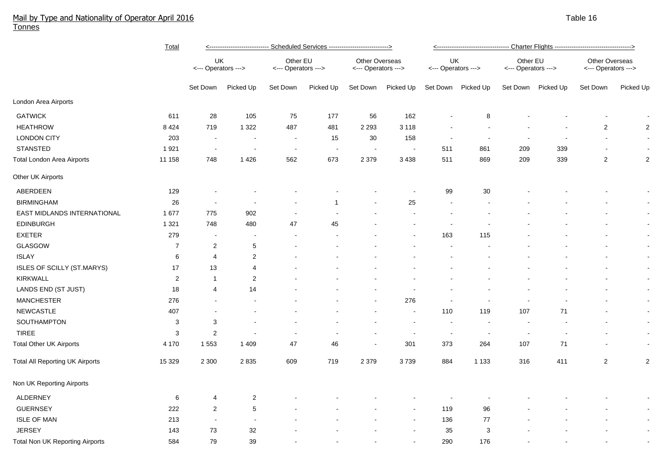## Mail by Type and Nationality of Operator April 2016 Table 16 April 2016 Table 16 April 2016 Table 16 April 2016 Tonnes

|                                   | Total          | <---------------------------- Scheduled Services ---------------------------> |                          |                                 |           |                                              |                          |                           |                          |                                 |           |                                       |                |
|-----------------------------------|----------------|-------------------------------------------------------------------------------|--------------------------|---------------------------------|-----------|----------------------------------------------|--------------------------|---------------------------|--------------------------|---------------------------------|-----------|---------------------------------------|----------------|
|                                   |                | UK<br><--- Operators --->                                                     |                          | Other EU<br><--- Operators ---> |           | <b>Other Overseas</b><br><--- Operators ---> |                          | UK<br><--- Operators ---> |                          | Other EU<br><--- Operators ---> |           | Other Overseas<br><--- Operators ---> |                |
|                                   |                | Set Down                                                                      | Picked Up                | Set Down                        | Picked Up | Set Down                                     | Picked Up                | Set Down                  | Picked Up                | Set Down                        | Picked Up | Set Down                              | Picked Up      |
| London Area Airports              |                |                                                                               |                          |                                 |           |                                              |                          |                           |                          |                                 |           |                                       |                |
| <b>GATWICK</b>                    | 611            | 28                                                                            | 105                      | 75                              | 177       | 56                                           | 162                      |                           | 8                        |                                 |           |                                       |                |
| <b>HEATHROW</b>                   | 8 4 2 4        | 719                                                                           | 1 3 2 2                  | 487                             | 481       | 2 2 9 3                                      | 3 1 1 8                  |                           |                          |                                 |           | $\overline{c}$                        | $\overline{c}$ |
| <b>LONDON CITY</b>                | 203            | $\sim$                                                                        |                          | $\blacksquare$                  | 15        | $30\,$                                       | 158                      |                           |                          |                                 |           |                                       |                |
| <b>STANSTED</b>                   | 1921           | $\sim$                                                                        | $\overline{\phantom{a}}$ | $\sim$                          | $\sim$    | $\blacksquare$                               | $\overline{\phantom{a}}$ | 511                       | 861                      | 209                             | 339       | $\overline{\phantom{a}}$              | $\sim$         |
| <b>Total London Area Airports</b> | 11 158         | 748                                                                           | 1426                     | 562                             | 673       | 2 3 7 9                                      | 3 4 3 8                  | 511                       | 869                      | 209                             | 339       | $\overline{2}$                        | $\overline{c}$ |
| Other UK Airports                 |                |                                                                               |                          |                                 |           |                                              |                          |                           |                          |                                 |           |                                       |                |
| ABERDEEN                          | 129            |                                                                               |                          |                                 |           |                                              |                          | 99                        | 30                       |                                 |           |                                       |                |
| <b>BIRMINGHAM</b>                 | 26             | $\sim$                                                                        |                          |                                 | 1         |                                              | 25                       | $\overline{\phantom{a}}$  |                          |                                 |           |                                       | $\sim$         |
| EAST MIDLANDS INTERNATIONAL       | 1677           | 775                                                                           | 902                      |                                 |           |                                              |                          | $\blacksquare$            |                          |                                 |           |                                       | $\sim$         |
| <b>EDINBURGH</b>                  | 1 3 2 1        | 748                                                                           | 480                      | 47                              | 45        |                                              |                          | $\blacksquare$            |                          |                                 |           |                                       | $\sim$         |
| <b>EXETER</b>                     | 279            | $\blacksquare$                                                                | $\overline{\phantom{a}}$ |                                 |           |                                              |                          | 163                       | 115                      |                                 |           |                                       | $\sim$         |
| GLASGOW                           | $\overline{7}$ | $\overline{2}$                                                                | $\sqrt{5}$               |                                 |           |                                              |                          |                           |                          |                                 |           | $\sim$                                | $\sim$         |
| <b>ISLAY</b>                      | 6              | 4                                                                             | $\overline{2}$           |                                 |           |                                              |                          |                           |                          |                                 |           |                                       | $\sim$         |
| ISLES OF SCILLY (ST.MARYS)        | 17             | 13                                                                            | $\overline{4}$           |                                 |           |                                              |                          |                           |                          |                                 |           |                                       | $\blacksquare$ |
| <b>KIRKWALL</b>                   | $\overline{c}$ | $\mathbf{1}$                                                                  | $\overline{2}$           |                                 |           |                                              |                          |                           |                          |                                 |           |                                       | $\sim$         |
| LANDS END (ST JUST)               | 18             | 4                                                                             | 14                       |                                 |           |                                              |                          |                           |                          |                                 |           |                                       | $\sim$         |
| <b>MANCHESTER</b>                 | 276            | $\sim$                                                                        |                          |                                 |           | $\overline{\phantom{a}}$                     | 276                      | $\blacksquare$            | $\overline{\phantom{a}}$ | $\overline{\phantom{a}}$        |           |                                       | $\sim$         |
| <b>NEWCASTLE</b>                  | 407            |                                                                               |                          |                                 |           | $\overline{\phantom{a}}$                     | $\sim$                   | 110                       | 119                      | 107                             | 71        |                                       | $\sim$         |
| SOUTHAMPTON                       | 3              | 3                                                                             | $\blacksquare$           |                                 |           |                                              |                          | $\sim$                    | $\overline{\phantom{a}}$ | $\overline{\phantom{a}}$        |           |                                       | $\sim$         |
| TIREE                             | $\mathsf 3$    | $\overline{2}$                                                                | $\sim$                   | $\overline{a}$                  |           | $\sim$                                       | $\overline{\phantom{a}}$ | $\sim$                    | $\sim$                   | $\overline{\phantom{a}}$        |           |                                       | $\sim$         |
| <b>Total Other UK Airports</b>    | 4 170          | 1 5 5 3                                                                       | 1 4 0 9                  | 47                              | 46        | $\blacksquare$                               | 301                      | 373                       | 264                      | 107                             | 71        |                                       | $\sim$         |
| Total All Reporting UK Airports   | 15 3 29        | 2 3 0 0                                                                       | 2835                     | 609                             | 719       | 2 3 7 9                                      | 3739                     | 884                       | 1 1 3 3                  | 316                             | 411       | $\overline{2}$                        | $\overline{c}$ |
| Non UK Reporting Airports         |                |                                                                               |                          |                                 |           |                                              |                          |                           |                          |                                 |           |                                       |                |
| <b>ALDERNEY</b>                   | 6              | 4                                                                             | $\overline{2}$           |                                 |           |                                              |                          |                           |                          |                                 |           |                                       |                |
| <b>GUERNSEY</b>                   | 222            | $\sqrt{2}$                                                                    | $\,$ 5 $\,$              |                                 |           |                                              |                          | 119                       | 96                       |                                 |           |                                       | $\sim$         |
| <b>ISLE OF MAN</b>                | 213            | $\sim$                                                                        |                          |                                 |           |                                              |                          | 136                       | 77                       |                                 |           |                                       | $\sim$         |
| <b>JERSEY</b>                     | 143            | 73                                                                            | 32                       |                                 |           |                                              |                          | 35                        | 3                        |                                 |           |                                       | $\sim$         |
| Total Non UK Reporting Airports   | 584            | 79                                                                            | 39                       |                                 |           |                                              |                          | 290                       | 176                      |                                 |           |                                       |                |